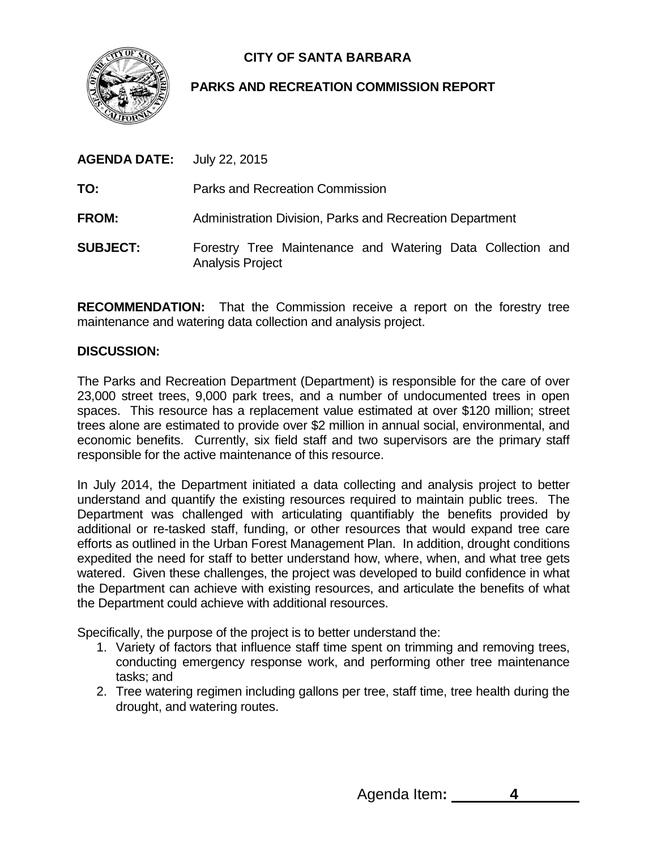

# **CITY OF SANTA BARBARA**

# **PARKS AND RECREATION COMMISSION REPORT**

| <b>AGENDA DATE:</b> | July 22, 2015                                                                         |
|---------------------|---------------------------------------------------------------------------------------|
| TO:                 | Parks and Recreation Commission                                                       |
| <b>FROM:</b>        | Administration Division, Parks and Recreation Department                              |
| <b>SUBJECT:</b>     | Forestry Tree Maintenance and Watering Data Collection and<br><b>Analysis Project</b> |

**RECOMMENDATION:** That the Commission receive a report on the forestry tree maintenance and watering data collection and analysis project.

### **DISCUSSION:**

The Parks and Recreation Department (Department) is responsible for the care of over 23,000 street trees, 9,000 park trees, and a number of undocumented trees in open spaces. This resource has a replacement value estimated at over \$120 million; street trees alone are estimated to provide over \$2 million in annual social, environmental, and economic benefits. Currently, six field staff and two supervisors are the primary staff responsible for the active maintenance of this resource.

In July 2014, the Department initiated a data collecting and analysis project to better understand and quantify the existing resources required to maintain public trees. The Department was challenged with articulating quantifiably the benefits provided by additional or re-tasked staff, funding, or other resources that would expand tree care efforts as outlined in the Urban Forest Management Plan. In addition, drought conditions expedited the need for staff to better understand how, where, when, and what tree gets watered. Given these challenges, the project was developed to build confidence in what the Department can achieve with existing resources, and articulate the benefits of what the Department could achieve with additional resources.

Specifically, the purpose of the project is to better understand the:

- 1. Variety of factors that influence staff time spent on trimming and removing trees, conducting emergency response work, and performing other tree maintenance tasks; and
- 2. Tree watering regimen including gallons per tree, staff time, tree health during the drought, and watering routes.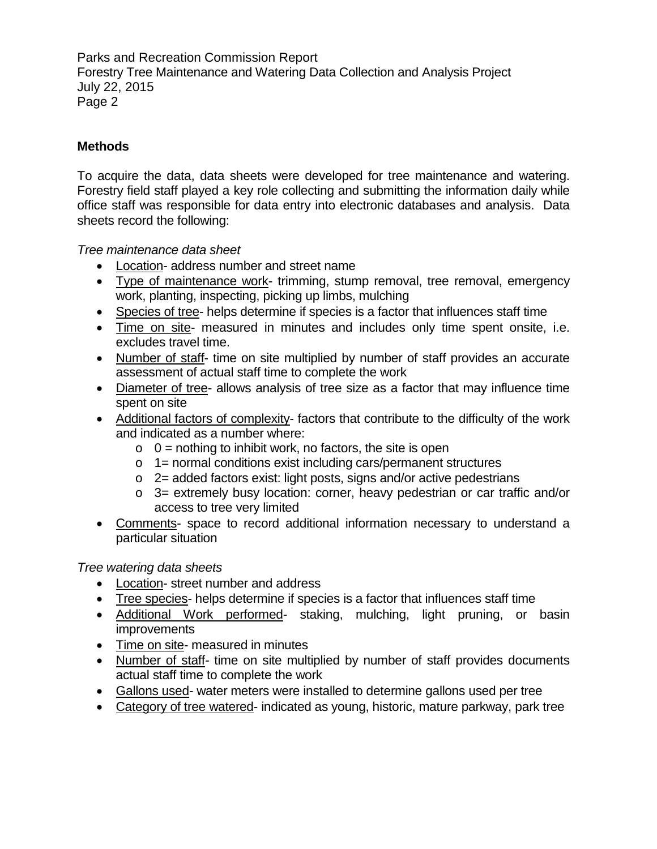## **Methods**

To acquire the data, data sheets were developed for tree maintenance and watering. Forestry field staff played a key role collecting and submitting the information daily while office staff was responsible for data entry into electronic databases and analysis. Data sheets record the following:

*Tree maintenance data sheet*

- Location- address number and street name
- Type of maintenance work- trimming, stump removal, tree removal, emergency work, planting, inspecting, picking up limbs, mulching
- Species of tree- helps determine if species is a factor that influences staff time
- Time on site- measured in minutes and includes only time spent onsite, i.e. excludes travel time.
- Number of staff- time on site multiplied by number of staff provides an accurate assessment of actual staff time to complete the work
- Diameter of tree- allows analysis of tree size as a factor that may influence time spent on site
- Additional factors of complexity- factors that contribute to the difficulty of the work and indicated as a number where:
	- $\circ$  0 = nothing to inhibit work, no factors, the site is open
	- o 1= normal conditions exist including cars/permanent structures
	- o 2= added factors exist: light posts, signs and/or active pedestrians
	- o 3= extremely busy location: corner, heavy pedestrian or car traffic and/or access to tree very limited
- Comments- space to record additional information necessary to understand a particular situation

*Tree watering data sheets*

- Location- street number and address
- Tree species- helps determine if species is a factor that influences staff time
- Additional Work performed- staking, mulching, light pruning, or basin improvements
- Time on site- measured in minutes
- Number of staff- time on site multiplied by number of staff provides documents actual staff time to complete the work
- Gallons used- water meters were installed to determine gallons used per tree
- Category of tree watered- indicated as young, historic, mature parkway, park tree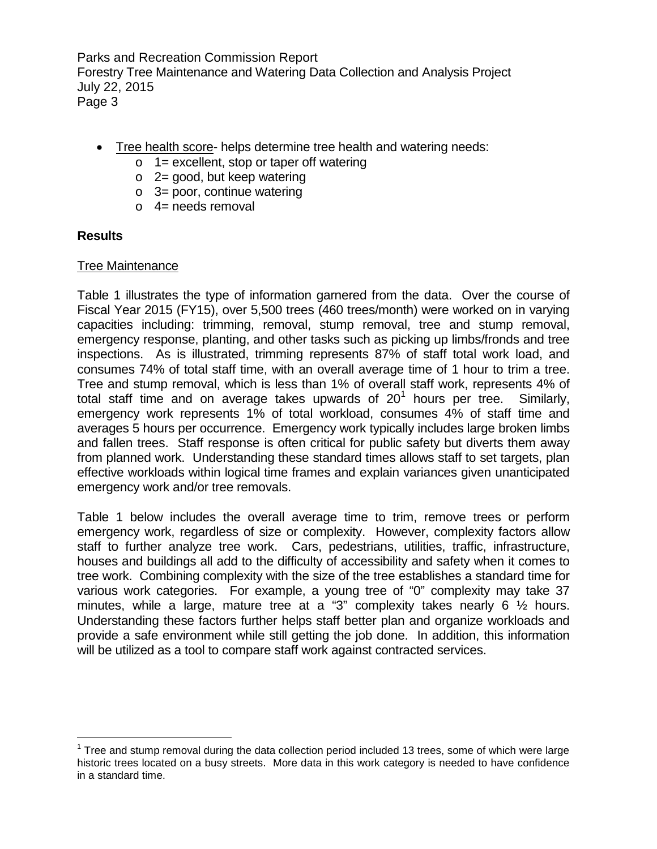- Tree health score- helps determine tree health and watering needs:
	- $\circ$  1 = excellent, stop or taper off watering
	- o 2= good, but keep watering
	- $\circ$  3= poor, continue watering
	- $\circ$  4= needs removal

### **Results**

### Tree Maintenance

Table 1 illustrates the type of information garnered from the data. Over the course of Fiscal Year 2015 (FY15), over 5,500 trees (460 trees/month) were worked on in varying capacities including: trimming, removal, stump removal, tree and stump removal, emergency response, planting, and other tasks such as picking up limbs/fronds and tree inspections. As is illustrated, trimming represents 87% of staff total work load, and consumes 74% of total staff time, with an overall average time of 1 hour to trim a tree. Tree and stump removal, which is less than 1% of overall staff work, represents 4% of total staff time and on average takes upwards of  $20^1$  $20^1$  hours per tree. Similarly, emergency work represents 1% of total workload, consumes 4% of staff time and averages 5 hours per occurrence. Emergency work typically includes large broken limbs and fallen trees. Staff response is often critical for public safety but diverts them away from planned work. Understanding these standard times allows staff to set targets, plan effective workloads within logical time frames and explain variances given unanticipated emergency work and/or tree removals.

Table 1 below includes the overall average time to trim, remove trees or perform emergency work, regardless of size or complexity. However, complexity factors allow staff to further analyze tree work. Cars, pedestrians, utilities, traffic, infrastructure, houses and buildings all add to the difficulty of accessibility and safety when it comes to tree work. Combining complexity with the size of the tree establishes a standard time for various work categories. For example, a young tree of "0" complexity may take 37 minutes, while a large, mature tree at a "3" complexity takes nearly 6 ½ hours. Understanding these factors further helps staff better plan and organize workloads and provide a safe environment while still getting the job done. In addition, this information will be utilized as a tool to compare staff work against contracted services.

<span id="page-2-0"></span> $\overline{a}$  $1$  Tree and stump removal during the data collection period included 13 trees, some of which were large historic trees located on a busy streets. More data in this work category is needed to have confidence in a standard time.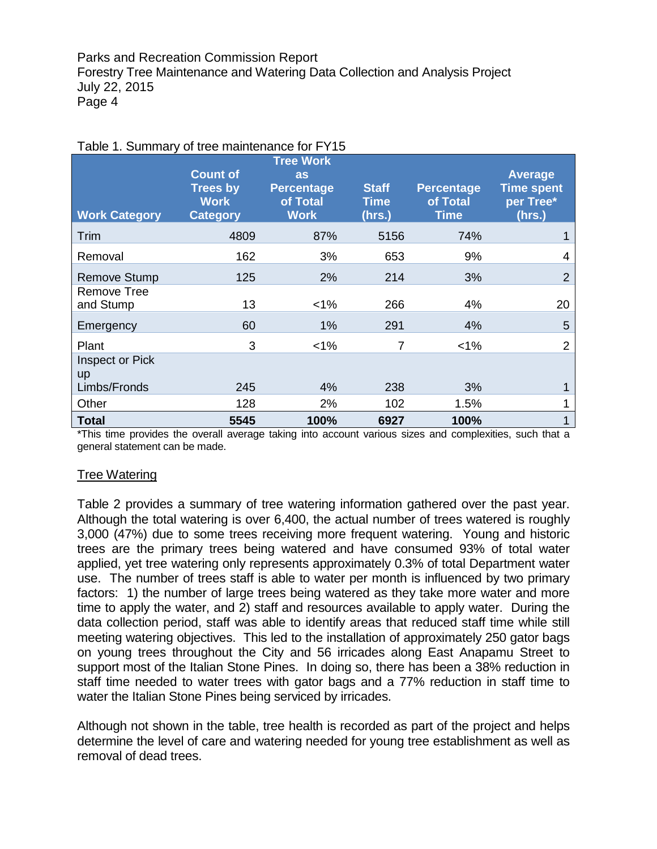| <b>Work Category</b>         | <b>Count of</b><br><b>Trees by</b><br><b>Work</b><br><b>Category</b> | <b>Tree Work</b><br>as<br><b>Percentage</b><br>of Total<br><b>Work</b> | <b>Staff</b><br><b>Time</b><br>(hrs.) | <b>Percentage</b><br>of Total<br><b>Time</b> | <b>Average</b><br><b>Time spent</b><br>per Tree*<br>(hrs.) |
|------------------------------|----------------------------------------------------------------------|------------------------------------------------------------------------|---------------------------------------|----------------------------------------------|------------------------------------------------------------|
| Trim                         | 4809                                                                 | 87%                                                                    | 5156                                  | 74%                                          |                                                            |
| Removal                      | 162                                                                  | 3%                                                                     | 653                                   | 9%                                           | 4                                                          |
| <b>Remove Stump</b>          | 125                                                                  | 2%                                                                     | 214                                   | 3%                                           | $\overline{2}$                                             |
| Remove Tree<br>and Stump     | 13                                                                   | $1\%$                                                                  | 266                                   | 4%                                           | 20                                                         |
| Emergency                    | 60                                                                   | 1%                                                                     | 291                                   | 4%                                           | 5                                                          |
| Plant                        | 3                                                                    | $1\%$                                                                  | 7                                     | $< 1\%$                                      | $\overline{2}$                                             |
| <b>Inspect or Pick</b><br>up |                                                                      |                                                                        |                                       |                                              |                                                            |
| Limbs/Fronds                 | 245                                                                  | 4%                                                                     | 238                                   | 3%                                           |                                                            |
| Other                        | 128                                                                  | 2%                                                                     | 102                                   | 1.5%                                         |                                                            |
| <b>Total</b>                 | 5545                                                                 | 100%                                                                   | 6927                                  | 100%                                         |                                                            |

\*This time provides the overall average taking into account various sizes and complexities, such that a general statement can be made.

#### Tree Watering

Table 2 provides a summary of tree watering information gathered over the past year. Although the total watering is over 6,400, the actual number of trees watered is roughly 3,000 (47%) due to some trees receiving more frequent watering. Young and historic trees are the primary trees being watered and have consumed 93% of total water applied, yet tree watering only represents approximately 0.3% of total Department water use. The number of trees staff is able to water per month is influenced by two primary factors: 1) the number of large trees being watered as they take more water and more time to apply the water, and 2) staff and resources available to apply water. During the data collection period, staff was able to identify areas that reduced staff time while still meeting watering objectives. This led to the installation of approximately 250 gator bags on young trees throughout the City and 56 irricades along East Anapamu Street to support most of the Italian Stone Pines. In doing so, there has been a 38% reduction in staff time needed to water trees with gator bags and a 77% reduction in staff time to water the Italian Stone Pines being serviced by irricades.

Although not shown in the table, tree health is recorded as part of the project and helps determine the level of care and watering needed for young tree establishment as well as removal of dead trees.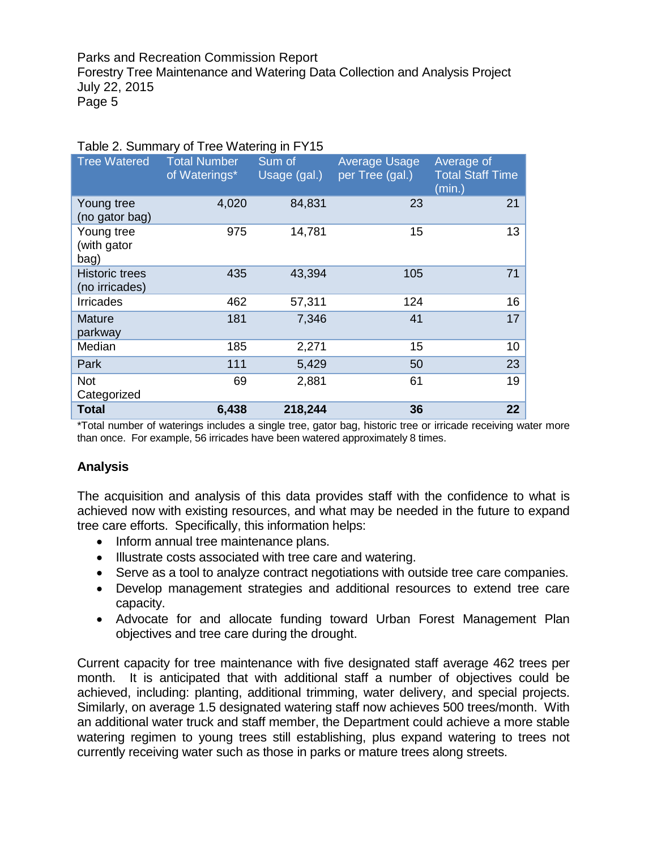| <b>Tree Watered</b>                     | <b>Total Number</b><br>of Waterings* | Sum of<br>Usage (gal.) | Average Usage<br>per Tree (gal.) | Average of<br><b>Total Staff Time</b><br>(min.) |
|-----------------------------------------|--------------------------------------|------------------------|----------------------------------|-------------------------------------------------|
| Young tree<br>(no gator bag)            | 4,020                                | 84,831                 | 23                               | 21                                              |
| Young tree<br>(with gator<br>bag)       | 975                                  | 14,781                 | 15                               | 13                                              |
| <b>Historic trees</b><br>(no irricades) | 435                                  | 43,394                 | 105                              | 71                                              |
| <b>Irricades</b>                        | 462                                  | 57,311                 | 124                              | 16                                              |
| <b>Mature</b><br>parkway                | 181                                  | 7,346                  | 41                               | 17                                              |
| Median                                  | 185                                  | 2,271                  | 15                               | 10                                              |
| Park                                    | 111                                  | 5,429                  | 50                               | 23                                              |
| <b>Not</b><br>Categorized               | 69                                   | 2,881                  | 61                               | 19                                              |
| <b>Total</b>                            | 6,438                                | 218,244                | 36                               | 22                                              |

#### Table 2. Summary of Tree Watering in FY15

\*Total number of waterings includes a single tree, gator bag, historic tree or irricade receiving water more than once. For example, 56 irricades have been watered approximately 8 times.

### **Analysis**

The acquisition and analysis of this data provides staff with the confidence to what is achieved now with existing resources, and what may be needed in the future to expand tree care efforts. Specifically, this information helps:

- Inform annual tree maintenance plans.
- Illustrate costs associated with tree care and watering.
- Serve as a tool to analyze contract negotiations with outside tree care companies.
- Develop management strategies and additional resources to extend tree care capacity.
- Advocate for and allocate funding toward Urban Forest Management Plan objectives and tree care during the drought.

Current capacity for tree maintenance with five designated staff average 462 trees per month. It is anticipated that with additional staff a number of objectives could be achieved, including: planting, additional trimming, water delivery, and special projects. Similarly, on average 1.5 designated watering staff now achieves 500 trees/month. With an additional water truck and staff member, the Department could achieve a more stable watering regimen to young trees still establishing, plus expand watering to trees not currently receiving water such as those in parks or mature trees along streets.